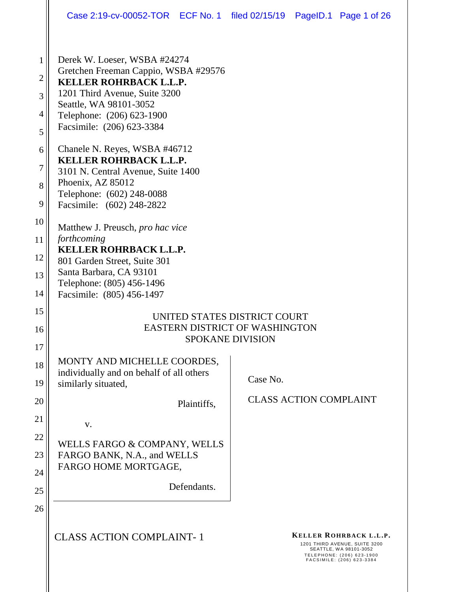|                                                 | Case 2:19-cv-00052-TOR ECF No. 1 filed 02/15/19 PageID.1 Page 1 of 26                                                                                                                                                      |                               |  |                                                                                                                                             |  |
|-------------------------------------------------|----------------------------------------------------------------------------------------------------------------------------------------------------------------------------------------------------------------------------|-------------------------------|--|---------------------------------------------------------------------------------------------------------------------------------------------|--|
| 1<br>$\overline{2}$<br>3<br>$\overline{4}$<br>5 | Derek W. Loeser, WSBA #24274<br>Gretchen Freeman Cappio, WSBA #29576<br><b>KELLER ROHRBACK L.L.P.</b><br>1201 Third Avenue, Suite 3200<br>Seattle, WA 98101-3052<br>Telephone: (206) 623-1900<br>Facsimile: (206) 623-3384 |                               |  |                                                                                                                                             |  |
| 6<br>7<br>8<br>9                                | Chanele N. Reyes, WSBA #46712<br><b>KELLER ROHRBACK L.L.P.</b><br>3101 N. Central Avenue, Suite 1400<br>Phoenix, AZ 85012<br>Telephone: (602) 248-0088<br>Facsimile: (602) 248-2822                                        |                               |  |                                                                                                                                             |  |
| 10<br>11<br>12<br>13<br>14                      | Matthew J. Preusch, pro hac vice<br>forthcoming<br><b>KELLER ROHRBACK L.L.P.</b><br>801 Garden Street, Suite 301<br>Santa Barbara, CA 93101<br>Telephone: (805) 456-1496<br>Facsimile: (805) 456-1497                      |                               |  |                                                                                                                                             |  |
| 15<br>16<br>17                                  | UNITED STATES DISTRICT COURT<br><b>EASTERN DISTRICT OF WASHINGTON</b><br><b>SPOKANE DIVISION</b>                                                                                                                           |                               |  |                                                                                                                                             |  |
| 18<br>19                                        | MONTY AND MICHELLE COORDES,<br>individually and on behalf of all others<br>similarly situated,                                                                                                                             | Case No.                      |  |                                                                                                                                             |  |
| 20<br>21                                        | Plaintiffs,<br>V.                                                                                                                                                                                                          | <b>CLASS ACTION COMPLAINT</b> |  |                                                                                                                                             |  |
| 22<br>23<br>24<br>25                            | WELLS FARGO & COMPANY, WELLS<br>FARGO BANK, N.A., and WELLS<br>FARGO HOME MORTGAGE,<br>Defendants.                                                                                                                         |                               |  |                                                                                                                                             |  |
| 26                                              | <b>CLASS ACTION COMPLAINT-1</b>                                                                                                                                                                                            |                               |  | KELLER ROHRBACK L.L.P.<br>1201 THIRD AVENUE, SUITE 3200<br>SEATTLE, WA 98101-3052<br>TELEPHONE: (206) 623-1900<br>FACSIMILE: (206) 623-3384 |  |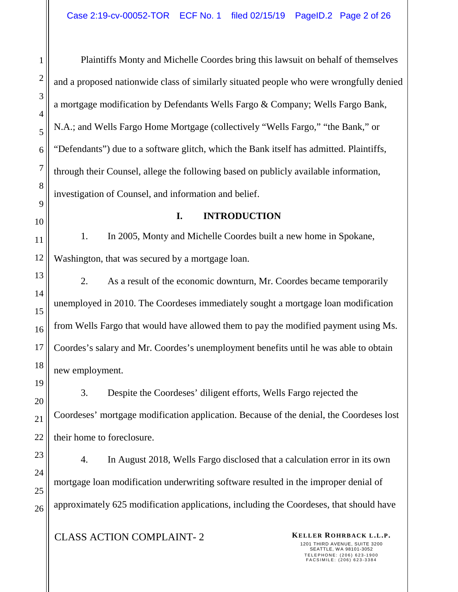Plaintiffs Monty and Michelle Coordes bring this lawsuit on behalf of themselves and a proposed nationwide class of similarly situated people who were wrongfully denied a mortgage modification by Defendants Wells Fargo & Company; Wells Fargo Bank, N.A.; and Wells Fargo Home Mortgage (collectively "Wells Fargo," "the Bank," or "Defendants") due to a software glitch, which the Bank itself has admitted. Plaintiffs, through their Counsel, allege the following based on publicly available information, investigation of Counsel, and information and belief.

#### **I. INTRODUCTION**

1. In 2005, Monty and Michelle Coordes built a new home in Spokane, Washington, that was secured by a mortgage loan.

2. As a result of the economic downturn, Mr. Coordes became temporarily unemployed in 2010. The Coordeses immediately sought a mortgage loan modification from Wells Fargo that would have allowed them to pay the modified payment using Ms. Coordes's salary and Mr. Coordes's unemployment benefits until he was able to obtain new employment.

3. Despite the Coordeses' diligent efforts, Wells Fargo rejected the Coordeses' mortgage modification application. Because of the denial, the Coordeses lost their home to foreclosure.

4. In August 2018, Wells Fargo disclosed that a calculation error in its own mortgage loan modification underwriting software resulted in the improper denial of approximately 625 modification applications, including the Coordeses, that should have

**CLASS ACTION COMPLAINT-2 KELLER ROHRBACK L.L.P.**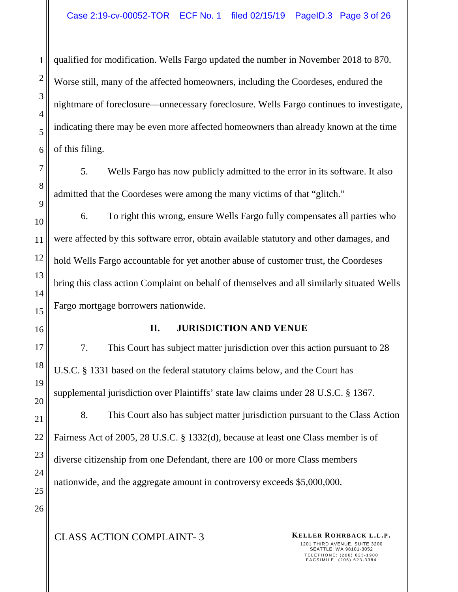qualified for modification. Wells Fargo updated the number in November 2018 to 870. Worse still, many of the affected homeowners, including the Coordeses, endured the nightmare of foreclosure—unnecessary foreclosure. Wells Fargo continues to investigate, indicating there may be even more affected homeowners than already known at the time of this filing.

5. Wells Fargo has now publicly admitted to the error in its software. It also admitted that the Coordeses were among the many victims of that "glitch."

6. To right this wrong, ensure Wells Fargo fully compensates all parties who were affected by this software error, obtain available statutory and other damages, and hold Wells Fargo accountable for yet another abuse of customer trust, the Coordeses bring this class action Complaint on behalf of themselves and all similarly situated Wells Fargo mortgage borrowers nationwide.

### **II. JURISDICTION AND VENUE**

7. This Court has subject matter jurisdiction over this action pursuant to 28 U.S.C. § 1331 based on the federal statutory claims below, and the Court has supplemental jurisdiction over Plaintiffs' state law claims under 28 U.S.C. § 1367.

8. This Court also has subject matter jurisdiction pursuant to the Class Action Fairness Act of 2005, 28 U.S.C. § 1332(d), because at least one Class member is of diverse citizenship from one Defendant, there are 100 or more Class members nationwide, and the aggregate amount in controversy exceeds \$5,000,000.

1201 THIRD AVENUE, SUITE 3200 SEATTLE, WA 98101-3052 TELEPHONE: (206) 623-1900<br>FACSIMILE: (206) 623-3384

1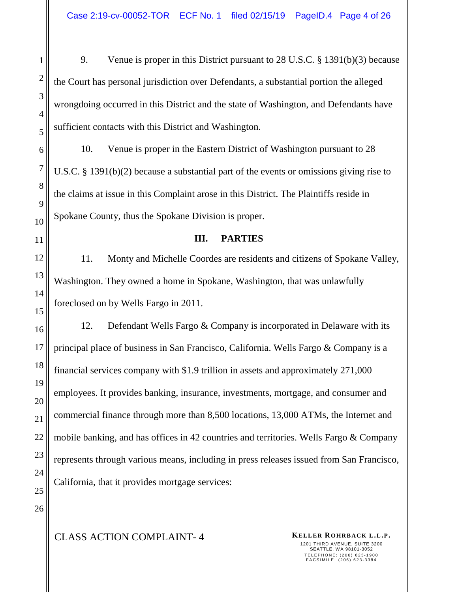9. Venue is proper in this District pursuant to 28 U.S.C. § 1391(b)(3) because the Court has personal jurisdiction over Defendants, a substantial portion the alleged wrongdoing occurred in this District and the state of Washington, and Defendants have sufficient contacts with this District and Washington.

10. Venue is proper in the Eastern District of Washington pursuant to 28 U.S.C. § 1391(b)(2) because a substantial part of the events or omissions giving rise to the claims at issue in this Complaint arose in this District. The Plaintiffs reside in Spokane County, thus the Spokane Division is proper.

#### **III. PARTIES**

11. Monty and Michelle Coordes are residents and citizens of Spokane Valley, Washington. They owned a home in Spokane, Washington, that was unlawfully foreclosed on by Wells Fargo in 2011.

12. Defendant Wells Fargo & Company is incorporated in Delaware with its principal place of business in San Francisco, California. Wells Fargo & Company is a financial services company with \$1.9 trillion in assets and approximately 271,000 employees. It provides banking, insurance, investments, mortgage, and consumer and commercial finance through more than 8,500 locations, 13,000 ATMs, the Internet and mobile banking, and has offices in 42 countries and territories. Wells Fargo & Company represents through various means, including in press releases issued from San Francisco, California, that it provides mortgage services:

1

2

3

4

5

6

7

8

9

10

**CLASS ACTION COMPLAINT-4 KELLER ROHRBACK L.L.P.**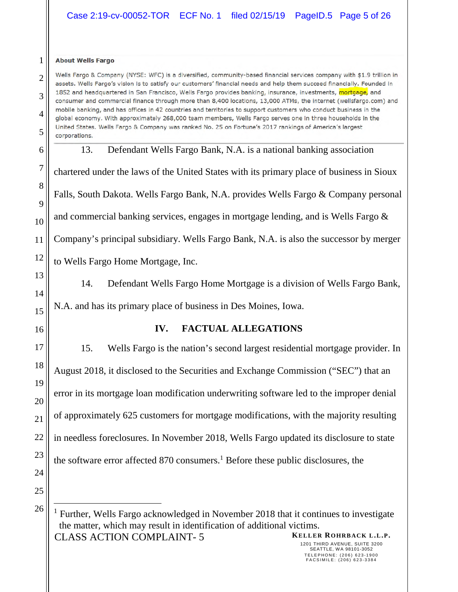|                | Case 2:19-cv-00052-TOR ECF No. 1 filed 02/15/19 PageID.5 Page 5 of 26                                                                                                                                                                                                                                                                                     |  |  |  |  |  |  |
|----------------|-----------------------------------------------------------------------------------------------------------------------------------------------------------------------------------------------------------------------------------------------------------------------------------------------------------------------------------------------------------|--|--|--|--|--|--|
| 1              | <b>About Wells Fargo</b>                                                                                                                                                                                                                                                                                                                                  |  |  |  |  |  |  |
| $\overline{2}$ | Wells Fargo & Company (NYSE: WFC) is a diversified, community-based financial services company with \$1.9 trillion in<br>assets. Wells Fargo's vision is to satisfy our customers' financial needs and help them succeed financially. Founded in                                                                                                          |  |  |  |  |  |  |
| 3              | 1852 and headquartered in San Francisco, Wells Fargo provides banking, insurance, investments, mortgage, and<br>consumer and commercial finance through more than 8,400 locations, 13,000 ATMs, the internet (wellsfargo.com) and                                                                                                                         |  |  |  |  |  |  |
| 4              | mobile banking, and has offices in 42 countries and territories to support customers who conduct business in the<br>global economy. With approximately 268,000 team members, Wells Fargo serves one in three households in the<br>United States. Wells Fargo & Company was ranked No. 25 on Fortune's 2017 rankings of America's largest<br>corporations. |  |  |  |  |  |  |
| 5              |                                                                                                                                                                                                                                                                                                                                                           |  |  |  |  |  |  |
| 6              | Defendant Wells Fargo Bank, N.A. is a national banking association<br>13.                                                                                                                                                                                                                                                                                 |  |  |  |  |  |  |
| 7              | chartered under the laws of the United States with its primary place of business in Sioux                                                                                                                                                                                                                                                                 |  |  |  |  |  |  |
| 8              | Falls, South Dakota. Wells Fargo Bank, N.A. provides Wells Fargo & Company personal<br>and commercial banking services, engages in mortgage lending, and is Wells Fargo &                                                                                                                                                                                 |  |  |  |  |  |  |
| 9              |                                                                                                                                                                                                                                                                                                                                                           |  |  |  |  |  |  |
| 10             |                                                                                                                                                                                                                                                                                                                                                           |  |  |  |  |  |  |
| 11<br>12       | Company's principal subsidiary. Wells Fargo Bank, N.A. is also the successor by merger                                                                                                                                                                                                                                                                    |  |  |  |  |  |  |
| 13             | to Wells Fargo Home Mortgage, Inc.                                                                                                                                                                                                                                                                                                                        |  |  |  |  |  |  |
| 14             | Defendant Wells Fargo Home Mortgage is a division of Wells Fargo Bank,<br>14.                                                                                                                                                                                                                                                                             |  |  |  |  |  |  |
| 15             | N.A. and has its primary place of business in Des Moines, Iowa.                                                                                                                                                                                                                                                                                           |  |  |  |  |  |  |
| 16             | <b>FACTUAL ALLEGATIONS</b><br>IV.                                                                                                                                                                                                                                                                                                                         |  |  |  |  |  |  |
| 17             | 15.<br>Wells Fargo is the nation's second largest residential mortgage provider. In                                                                                                                                                                                                                                                                       |  |  |  |  |  |  |
| 18             | August 2018, it disclosed to the Securities and Exchange Commission ("SEC") that an                                                                                                                                                                                                                                                                       |  |  |  |  |  |  |
| 19             | error in its mortgage loan modification underwriting software led to the improper denial                                                                                                                                                                                                                                                                  |  |  |  |  |  |  |
| 20             |                                                                                                                                                                                                                                                                                                                                                           |  |  |  |  |  |  |
| 21             | of approximately 625 customers for mortgage modifications, with the majority resulting                                                                                                                                                                                                                                                                    |  |  |  |  |  |  |
| 22             | in needless foreclosures. In November 2018, Wells Fargo updated its disclosure to state                                                                                                                                                                                                                                                                   |  |  |  |  |  |  |
| 23             | the software error affected 870 consumers. <sup>1</sup> Before these public disclosures, the                                                                                                                                                                                                                                                              |  |  |  |  |  |  |
| 24             |                                                                                                                                                                                                                                                                                                                                                           |  |  |  |  |  |  |
| 25             |                                                                                                                                                                                                                                                                                                                                                           |  |  |  |  |  |  |
| 26             | <sup>1</sup> Further, Wells Fargo acknowledged in November 2018 that it continues to investigate<br>the matter, which may result in identification of additional victims.<br>KELLER ROHRBACK L.L.P.<br><b>CLASS ACTION COMPLAINT-5</b>                                                                                                                    |  |  |  |  |  |  |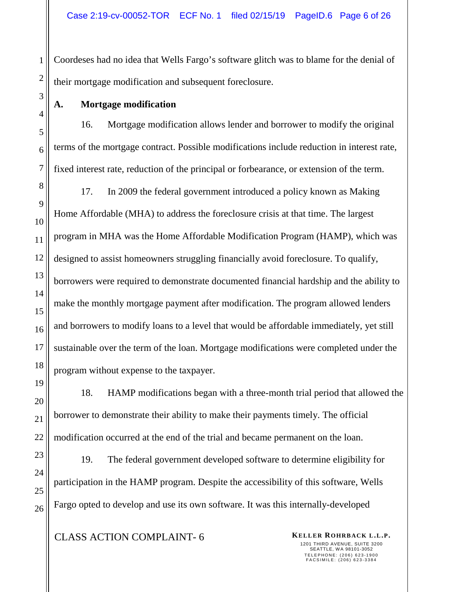Coordeses had no idea that Wells Fargo's software glitch was to blame for the denial of their mortgage modification and subsequent foreclosure.

# **A. Mortgage modification**

16. Mortgage modification allows lender and borrower to modify the original terms of the mortgage contract. Possible modifications include reduction in interest rate, fixed interest rate, reduction of the principal or forbearance, or extension of the term.

17. In 2009 the federal government introduced a policy known as Making Home Affordable (MHA) to address the foreclosure crisis at that time. The largest program in MHA was the Home Affordable Modification Program (HAMP), which was designed to assist homeowners struggling financially avoid foreclosure. To qualify, borrowers were required to demonstrate documented financial hardship and the ability to make the monthly mortgage payment after modification. The program allowed lenders and borrowers to modify loans to a level that would be affordable immediately, yet still sustainable over the term of the loan. Mortgage modifications were completed under the program without expense to the taxpayer.

18. HAMP modifications began with a three-month trial period that allowed the borrower to demonstrate their ability to make their payments timely. The official modification occurred at the end of the trial and became permanent on the loan.

19. The federal government developed software to determine eligibility for participation in the HAMP program. Despite the accessibility of this software, Wells Fargo opted to develop and use its own software. It was this internally-developed

**CLASS ACTION COMPLAINT-6 KELLER ROHRBACK L.L.P.** 

1201 THIRD AVENUE, SUITE 3200 SEATTLE, WA 98101-3052 TELEPHONE: (206) 623-1900<br>FACSIMILE: (206) 623-3384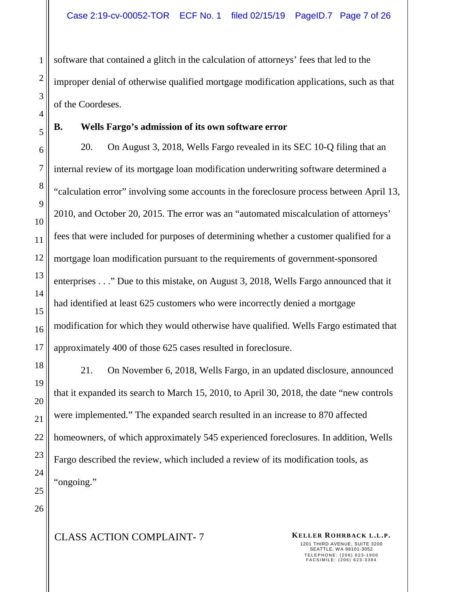software that contained a glitch in the calculation of attorneys' fees that led to the improper denial of otherwise qualified mortgage modification applications, such as that of the Coordeses.

#### **B. Wells Fargo's admission of its own software error**

20. On August 3, 2018, Wells Fargo revealed in its SEC 10-Q filing that an internal review of its mortgage loan modification underwriting software determined a "calculation error" involving some accounts in the foreclosure process between April 13, 2010, and October 20, 2015. The error was an "automated miscalculation of attorneys' fees that were included for purposes of determining whether a customer qualified for a mortgage loan modification pursuant to the requirements of government-sponsored enterprises . . ." Due to this mistake, on August 3, 2018, Wells Fargo announced that it had identified at least 625 customers who were incorrectly denied a mortgage modification for which they would otherwise have qualified. Wells Fargo estimated that approximately 400 of those 625 cases resulted in foreclosure.

21. On November 6, 2018, Wells Fargo, in an updated disclosure, announced that it expanded its search to March 15, 2010, to April 30, 2018, the date "new controls were implemented." The expanded search resulted in an increase to 870 affected homeowners, of which approximately 545 experienced foreclosures. In addition, Wells Fargo described the review, which included a review of its modification tools, as "ongoing."

1201 THIRD AVENUE, SUITE 3200 SEATTLE, WA 98101-3052 TELEPHONE: (206) 623-1900<br>FACSIMILE: (206) 623-3384

# **CLASS ACTION COMPLAINT- 7 KELLER ROHRBACK L.L.P.**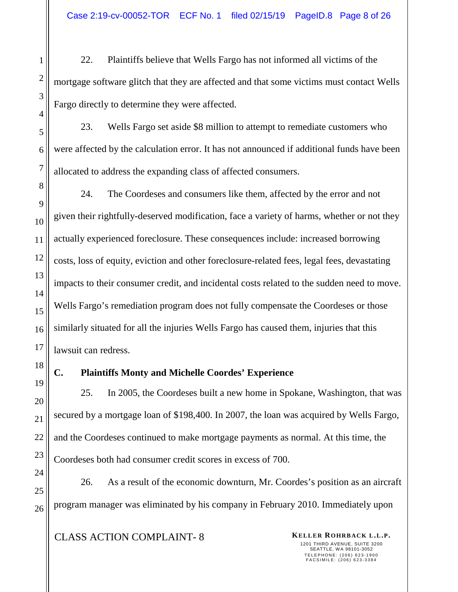22. Plaintiffs believe that Wells Fargo has not informed all victims of the mortgage software glitch that they are affected and that some victims must contact Wells Fargo directly to determine they were affected.

23. Wells Fargo set aside \$8 million to attempt to remediate customers who were affected by the calculation error. It has not announced if additional funds have been allocated to address the expanding class of affected consumers.

24. The Coordeses and consumers like them, affected by the error and not given their rightfully-deserved modification, face a variety of harms, whether or not they actually experienced foreclosure. These consequences include: increased borrowing costs, loss of equity, eviction and other foreclosure-related fees, legal fees, devastating impacts to their consumer credit, and incidental costs related to the sudden need to move. Wells Fargo's remediation program does not fully compensate the Coordeses or those similarly situated for all the injuries Wells Fargo has caused them, injuries that this lawsuit can redress.

# **C. Plaintiffs Monty and Michelle Coordes' Experience**

25. In 2005, the Coordeses built a new home in Spokane, Washington, that was secured by a mortgage loan of \$198,400. In 2007, the loan was acquired by Wells Fargo, and the Coordeses continued to make mortgage payments as normal. At this time, the Coordeses both had consumer credit scores in excess of 700.

26. As a result of the economic downturn, Mr. Coordes's position as an aircraft program manager was eliminated by his company in February 2010. Immediately upon

# **CLASS ACTION COMPLAINT-8 KELLER ROHRBACK L.L.P.**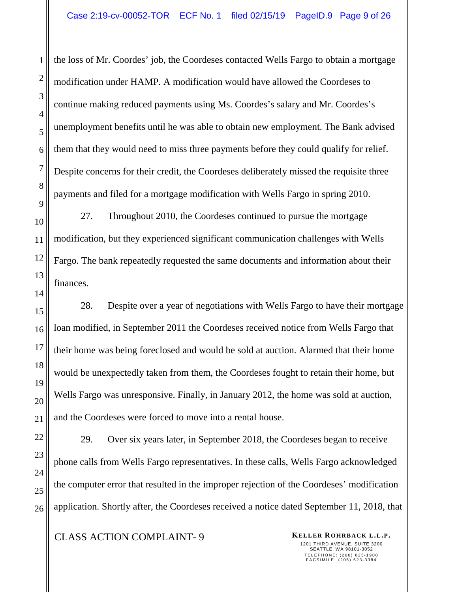the loss of Mr. Coordes' job, the Coordeses contacted Wells Fargo to obtain a mortgage modification under HAMP. A modification would have allowed the Coordeses to continue making reduced payments using Ms. Coordes's salary and Mr. Coordes's unemployment benefits until he was able to obtain new employment. The Bank advised them that they would need to miss three payments before they could qualify for relief. Despite concerns for their credit, the Coordeses deliberately missed the requisite three payments and filed for a mortgage modification with Wells Fargo in spring 2010.

27. Throughout 2010, the Coordeses continued to pursue the mortgage modification, but they experienced significant communication challenges with Wells Fargo. The bank repeatedly requested the same documents and information about their finances.

28. Despite over a year of negotiations with Wells Fargo to have their mortgage loan modified, in September 2011 the Coordeses received notice from Wells Fargo that their home was being foreclosed and would be sold at auction. Alarmed that their home would be unexpectedly taken from them, the Coordeses fought to retain their home, but Wells Fargo was unresponsive. Finally, in January 2012, the home was sold at auction, and the Coordeses were forced to move into a rental house.

29. Over six years later, in September 2018, the Coordeses began to receive phone calls from Wells Fargo representatives. In these calls, Wells Fargo acknowledged the computer error that resulted in the improper rejection of the Coordeses' modification application. Shortly after, the Coordeses received a notice dated September 11, 2018, that

**CLASS ACTION COMPLAINT-9 KELLER ROHRBACK L.L.P.**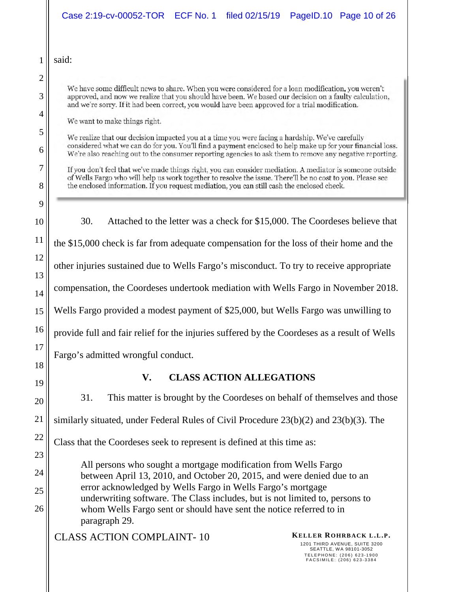|          | Case 2:19-cv-00052-TOR<br>filed 02/15/19<br>PageID.10 Page 10 of 26<br>ECF No. 1                                                                                                                                                                                                                                 |  |  |  |  |  |
|----------|------------------------------------------------------------------------------------------------------------------------------------------------------------------------------------------------------------------------------------------------------------------------------------------------------------------|--|--|--|--|--|
|          | said:                                                                                                                                                                                                                                                                                                            |  |  |  |  |  |
| 2        |                                                                                                                                                                                                                                                                                                                  |  |  |  |  |  |
| 3        | We have some difficult news to share. When you were considered for a loan modification, you weren't<br>approved, and now we realize that you should have been. We based our decision on a faulty calculation,<br>and we're sorry. If it had been correct, you would have been approved for a trial modification. |  |  |  |  |  |
| 4        | We want to make things right.                                                                                                                                                                                                                                                                                    |  |  |  |  |  |
| 5        | We realize that our decision impacted you at a time you were facing a hardship. We've carefully                                                                                                                                                                                                                  |  |  |  |  |  |
| 6        | considered what we can do for you. You'll find a payment enclosed to help make up for your financial loss.<br>We're also reaching out to the consumer reporting agencies to ask them to remove any negative reporting.                                                                                           |  |  |  |  |  |
| 7        | If you don't feel that we've made things right, you can consider mediation. A mediator is someone outside                                                                                                                                                                                                        |  |  |  |  |  |
| 8        | of Wells Fargo who will help us work together to resolve the issue. There'll be no cost to you. Please see<br>the enclosed information. If you request mediation, you can still cash the enclosed check.                                                                                                         |  |  |  |  |  |
| 9        |                                                                                                                                                                                                                                                                                                                  |  |  |  |  |  |
| 10       | 30.<br>Attached to the letter was a check for \$15,000. The Coordeses believe that                                                                                                                                                                                                                               |  |  |  |  |  |
| 11       | the \$15,000 check is far from adequate compensation for the loss of their home and the                                                                                                                                                                                                                          |  |  |  |  |  |
| 12       | other injuries sustained due to Wells Fargo's misconduct. To try to receive appropriate                                                                                                                                                                                                                          |  |  |  |  |  |
| 13<br>14 | compensation, the Coordeses undertook mediation with Wells Fargo in November 2018.                                                                                                                                                                                                                               |  |  |  |  |  |
| 15       | Wells Fargo provided a modest payment of \$25,000, but Wells Fargo was unwilling to                                                                                                                                                                                                                              |  |  |  |  |  |
| 16       | provide full and fair relief for the injuries suffered by the Coordeses as a result of Wells                                                                                                                                                                                                                     |  |  |  |  |  |
| 17       | Fargo's admitted wrongful conduct.                                                                                                                                                                                                                                                                               |  |  |  |  |  |
| 18<br>19 | <b>CLASS ACTION ALLEGATIONS</b><br>V.                                                                                                                                                                                                                                                                            |  |  |  |  |  |
| 20       | 31.<br>This matter is brought by the Coordeses on behalf of themselves and those                                                                                                                                                                                                                                 |  |  |  |  |  |
| 21       | similarly situated, under Federal Rules of Civil Procedure $23(b)(2)$ and $23(b)(3)$ . The                                                                                                                                                                                                                       |  |  |  |  |  |
| 22       | Class that the Coordeses seek to represent is defined at this time as:                                                                                                                                                                                                                                           |  |  |  |  |  |
| 23       |                                                                                                                                                                                                                                                                                                                  |  |  |  |  |  |
| 24       | All persons who sought a mortgage modification from Wells Fargo<br>between April 13, 2010, and October 20, 2015, and were denied due to an                                                                                                                                                                       |  |  |  |  |  |
| 25       | error acknowledged by Wells Fargo in Wells Fargo's mortgage                                                                                                                                                                                                                                                      |  |  |  |  |  |
| 26       | underwriting software. The Class includes, but is not limited to, persons to                                                                                                                                                                                                                                     |  |  |  |  |  |
|          | whom Wells Fargo sent or should have sent the notice referred to in<br>paragraph 29.                                                                                                                                                                                                                             |  |  |  |  |  |
|          | <b>CLASS ACTION COMPLAINT-10</b><br>KELLER ROHRBACK L.L.P.<br>1201 THIRD AVENUE, SUITE 3200<br>SEATTLE, WA 98101-3052<br>TELEPHONE: (206) 623-1900<br>FACSIMILE: (206) 623-3384                                                                                                                                  |  |  |  |  |  |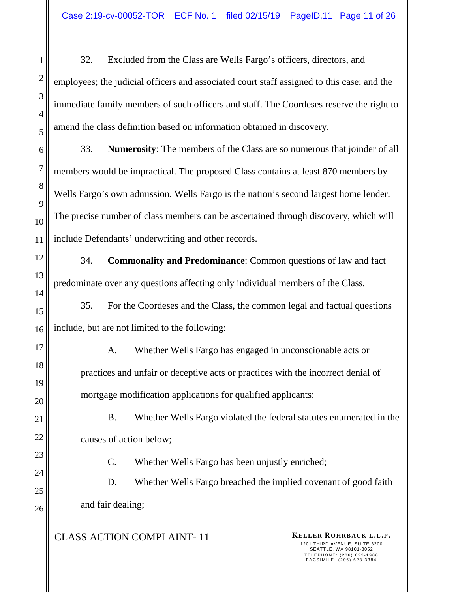32. Excluded from the Class are Wells Fargo's officers, directors, and employees; the judicial officers and associated court staff assigned to this case; and the immediate family members of such officers and staff. The Coordeses reserve the right to amend the class definition based on information obtained in discovery.

33. **Numerosity**: The members of the Class are so numerous that joinder of all members would be impractical. The proposed Class contains at least 870 members by Wells Fargo's own admission. Wells Fargo is the nation's second largest home lender. The precise number of class members can be ascertained through discovery, which will include Defendants' underwriting and other records.

34. **Commonality and Predominance**: Common questions of law and fact predominate over any questions affecting only individual members of the Class.

35. For the Coordeses and the Class, the common legal and factual questions include, but are not limited to the following:

A. Whether Wells Fargo has engaged in unconscionable acts or practices and unfair or deceptive acts or practices with the incorrect denial of mortgage modification applications for qualified applicants;

B. Whether Wells Fargo violated the federal statutes enumerated in the causes of action below;

C. Whether Wells Fargo has been unjustly enriched;

D. Whether Wells Fargo breached the implied covenant of good faith and fair dealing;

CLASS ACTION COMPLAINT- 11 **KELLER ROHRBACK L.L.P.**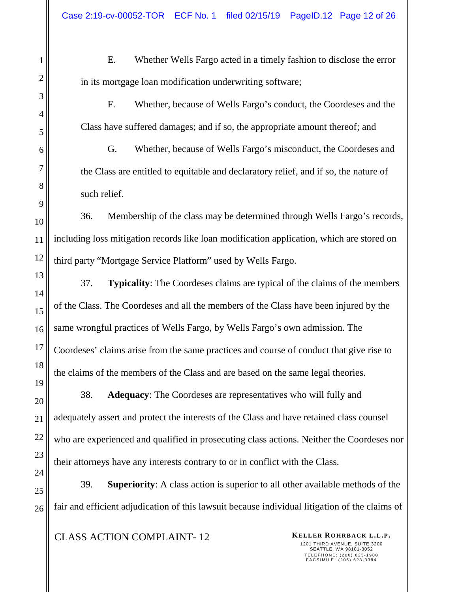E. Whether Wells Fargo acted in a timely fashion to disclose the error in its mortgage loan modification underwriting software;

F. Whether, because of Wells Fargo's conduct, the Coordeses and the Class have suffered damages; and if so, the appropriate amount thereof; and

G. Whether, because of Wells Fargo's misconduct, the Coordeses and the Class are entitled to equitable and declaratory relief, and if so, the nature of such relief.

36. Membership of the class may be determined through Wells Fargo's records, including loss mitigation records like loan modification application, which are stored on third party "Mortgage Service Platform" used by Wells Fargo.

37. **Typicality**: The Coordeses claims are typical of the claims of the members of the Class. The Coordeses and all the members of the Class have been injured by the same wrongful practices of Wells Fargo, by Wells Fargo's own admission. The Coordeses' claims arise from the same practices and course of conduct that give rise to the claims of the members of the Class and are based on the same legal theories.

38. **Adequacy**: The Coordeses are representatives who will fully and adequately assert and protect the interests of the Class and have retained class counsel who are experienced and qualified in prosecuting class actions. Neither the Coordeses nor their attorneys have any interests contrary to or in conflict with the Class.

39. **Superiority**: A class action is superior to all other available methods of the fair and efficient adjudication of this lawsuit because individual litigation of the claims of

**CLASS ACTION COMPLAINT-12 KELLER ROHRBACK L.L.P.**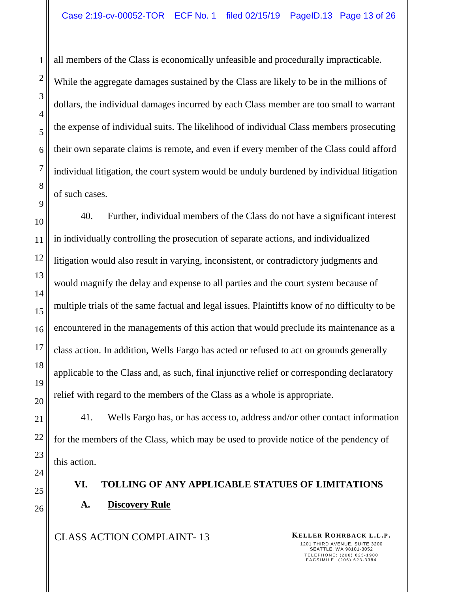all members of the Class is economically unfeasible and procedurally impracticable. While the aggregate damages sustained by the Class are likely to be in the millions of dollars, the individual damages incurred by each Class member are too small to warrant the expense of individual suits. The likelihood of individual Class members prosecuting their own separate claims is remote, and even if every member of the Class could afford individual litigation, the court system would be unduly burdened by individual litigation of such cases.

40. Further, individual members of the Class do not have a significant interest in individually controlling the prosecution of separate actions, and individualized litigation would also result in varying, inconsistent, or contradictory judgments and would magnify the delay and expense to all parties and the court system because of multiple trials of the same factual and legal issues. Plaintiffs know of no difficulty to be encountered in the managements of this action that would preclude its maintenance as a class action. In addition, Wells Fargo has acted or refused to act on grounds generally applicable to the Class and, as such, final injunctive relief or corresponding declaratory relief with regard to the members of the Class as a whole is appropriate.

41. Wells Fargo has, or has access to, address and/or other contact information for the members of the Class, which may be used to provide notice of the pendency of this action.

# **VI. TOLLING OF ANY APPLICABLE STATUES OF LIMITATIONS A. Discovery Rule**

**CLASS ACTION COMPLAINT-13 KELLER ROHRBACK L.L.P.** 

1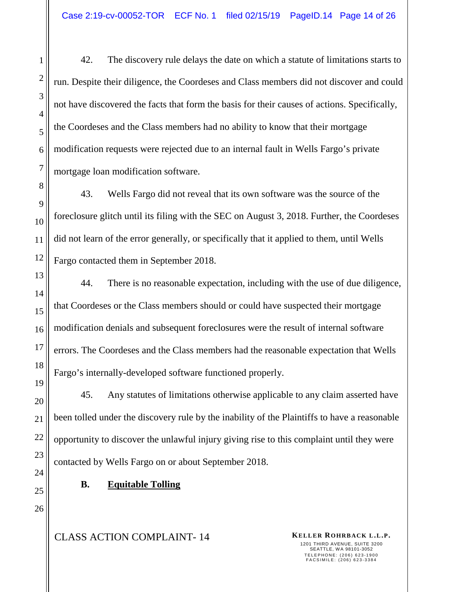42. The discovery rule delays the date on which a statute of limitations starts to run. Despite their diligence, the Coordeses and Class members did not discover and could not have discovered the facts that form the basis for their causes of actions. Specifically, the Coordeses and the Class members had no ability to know that their mortgage modification requests were rejected due to an internal fault in Wells Fargo's private mortgage loan modification software.

43. Wells Fargo did not reveal that its own software was the source of the foreclosure glitch until its filing with the SEC on August 3, 2018. Further, the Coordeses did not learn of the error generally, or specifically that it applied to them, until Wells Fargo contacted them in September 2018.

44. There is no reasonable expectation, including with the use of due diligence, that Coordeses or the Class members should or could have suspected their mortgage modification denials and subsequent foreclosures were the result of internal software errors. The Coordeses and the Class members had the reasonable expectation that Wells Fargo's internally-developed software functioned properly.

45. Any statutes of limitations otherwise applicable to any claim asserted have been tolled under the discovery rule by the inability of the Plaintiffs to have a reasonable opportunity to discover the unlawful injury giving rise to this complaint until they were contacted by Wells Fargo on or about September 2018.

# **B. Equitable Tolling**

CLASS ACTION COMPLAINT- 14 **KELLER ROHRBACK L.L.P.**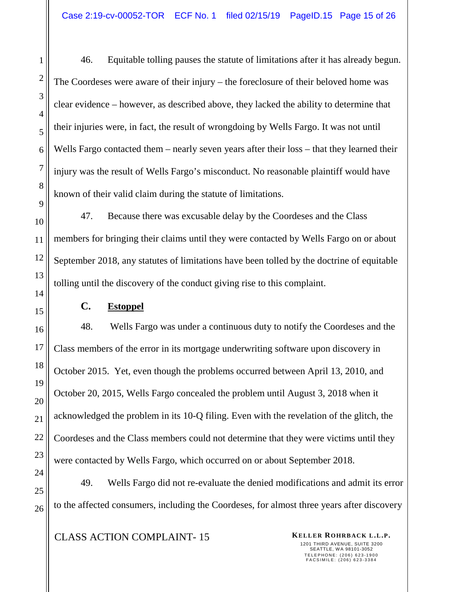46. Equitable tolling pauses the statute of limitations after it has already begun. The Coordeses were aware of their injury – the foreclosure of their beloved home was clear evidence – however, as described above, they lacked the ability to determine that their injuries were, in fact, the result of wrongdoing by Wells Fargo. It was not until Wells Fargo contacted them – nearly seven years after their loss – that they learned their injury was the result of Wells Fargo's misconduct. No reasonable plaintiff would have known of their valid claim during the statute of limitations.

47. Because there was excusable delay by the Coordeses and the Class members for bringing their claims until they were contacted by Wells Fargo on or about September 2018, any statutes of limitations have been tolled by the doctrine of equitable tolling until the discovery of the conduct giving rise to this complaint.

### **C. Estoppel**

48. Wells Fargo was under a continuous duty to notify the Coordeses and the Class members of the error in its mortgage underwriting software upon discovery in October 2015. Yet, even though the problems occurred between April 13, 2010, and October 20, 2015, Wells Fargo concealed the problem until August 3, 2018 when it acknowledged the problem in its 10-Q filing. Even with the revelation of the glitch, the Coordeses and the Class members could not determine that they were victims until they were contacted by Wells Fargo, which occurred on or about September 2018.

49. Wells Fargo did not re-evaluate the denied modifications and admit its error to the affected consumers, including the Coordeses, for almost three years after discovery

# **CLASS ACTION COMPLAINT-15 KELLER ROHRBACK L.L.P.**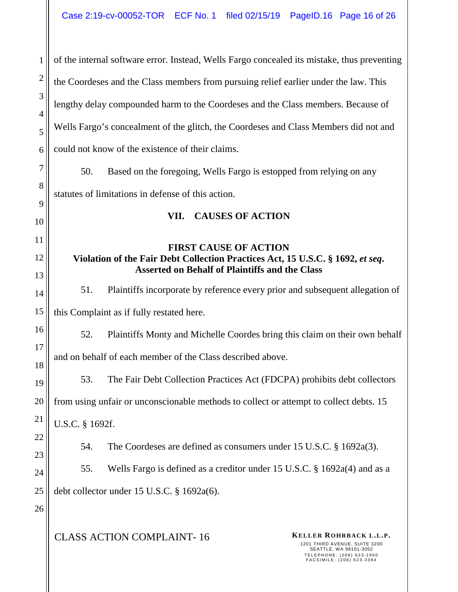of the internal software error. Instead, Wells Fargo concealed its mistake, thus preventing the Coordeses and the Class members from pursuing relief earlier under the law. This lengthy delay compounded harm to the Coordeses and the Class members. Because of Wells Fargo's concealment of the glitch, the Coordeses and Class Members did not and could not know of the existence of their claims.

50. Based on the foregoing, Wells Fargo is estopped from relying on any statutes of limitations in defense of this action.

### **VII. CAUSES OF ACTION**

# **FIRST CAUSE OF ACTION Violation of the Fair Debt Collection Practices Act, 15 U.S.C. § 1692,** *et seq***. Asserted on Behalf of Plaintiffs and the Class**

51. Plaintiffs incorporate by reference every prior and subsequent allegation of

this Complaint as if fully restated here.

1

2

3

4

5

6

7

8

9

10

11

12

13

14

15

16

17

18

19

20

21

22

23

24

25

26

52. Plaintiffs Monty and Michelle Coordes bring this claim on their own behalf and on behalf of each member of the Class described above.

53. The Fair Debt Collection Practices Act (FDCPA) prohibits debt collectors from using unfair or unconscionable methods to collect or attempt to collect debts. 15 U.S.C. § 1692f.

54. The Coordeses are defined as consumers under 15 U.S.C. § 1692a(3).

55. Wells Fargo is defined as a creditor under 15 U.S.C. § 1692a(4) and as a debt collector under 15 U.S.C. § 1692a(6).

CLASS ACTION COMPLAINT- 16 **KELLER ROHRBACK L.L.P.**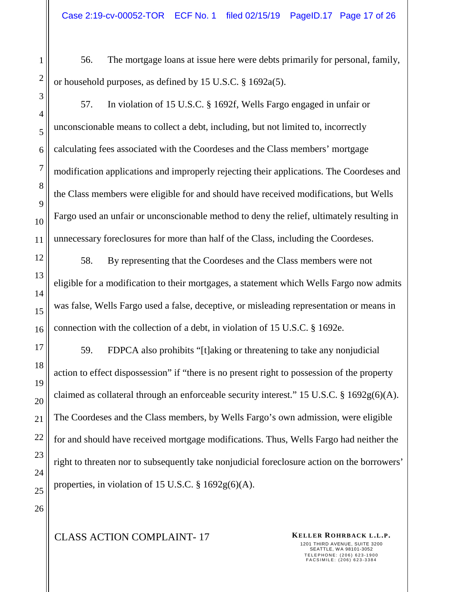56. The mortgage loans at issue here were debts primarily for personal, family, or household purposes, as defined by 15 U.S.C. § 1692a(5).

57. In violation of 15 U.S.C. § 1692f, Wells Fargo engaged in unfair or unconscionable means to collect a debt, including, but not limited to, incorrectly calculating fees associated with the Coordeses and the Class members' mortgage modification applications and improperly rejecting their applications. The Coordeses and the Class members were eligible for and should have received modifications, but Wells Fargo used an unfair or unconscionable method to deny the relief, ultimately resulting in unnecessary foreclosures for more than half of the Class, including the Coordeses.

58. By representing that the Coordeses and the Class members were not eligible for a modification to their mortgages, a statement which Wells Fargo now admits was false, Wells Fargo used a false, deceptive, or misleading representation or means in connection with the collection of a debt, in violation of 15 U.S.C. § 1692e.

59. FDPCA also prohibits "[t]aking or threatening to take any nonjudicial action to effect dispossession" if "there is no present right to possession of the property claimed as collateral through an enforceable security interest." 15 U.S.C. § 1692g(6)(A). The Coordeses and the Class members, by Wells Fargo's own admission, were eligible for and should have received mortgage modifications. Thus, Wells Fargo had neither the right to threaten nor to subsequently take nonjudicial foreclosure action on the borrowers' properties, in violation of 15 U.S.C.  $\S$  1692g(6)(A).

# **CLASS ACTION COMPLAINT-17 KELLER ROHRBACK L.L.P.**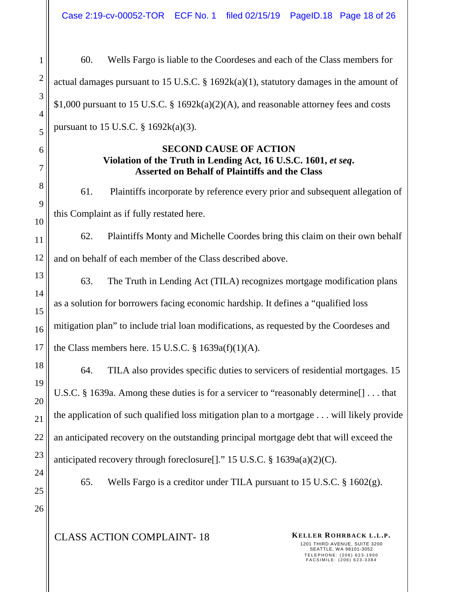60. Wells Fargo is liable to the Coordeses and each of the Class members for actual damages pursuant to 15 U.S.C.  $\S$  1692k(a)(1), statutory damages in the amount of \$1,000 pursuant to 15 U.S.C. § 1692k(a)(2)(A), and reasonable attorney fees and costs pursuant to 15 U.S.C.  $\S$  1692k(a)(3).

### **SECOND CAUSE OF ACTION Violation of the Truth in Lending Act, 16 U.S.C. 1601,** *et seq***. Asserted on Behalf of Plaintiffs and the Class**

61. Plaintiffs incorporate by reference every prior and subsequent allegation of this Complaint as if fully restated here.

62. Plaintiffs Monty and Michelle Coordes bring this claim on their own behalf and on behalf of each member of the Class described above.

63. The Truth in Lending Act (TILA) recognizes mortgage modification plans as a solution for borrowers facing economic hardship. It defines a "qualified loss mitigation plan" to include trial loan modifications, as requested by the Coordeses and the Class members here. 15 U.S.C.  $\S$  1639a(f)(1)(A).

64. TILA also provides specific duties to servicers of residential mortgages. 15 U.S.C. § 1639a. Among these duties is for a servicer to "reasonably determine[] . . . that the application of such qualified loss mitigation plan to a mortgage . . . will likely provide an anticipated recovery on the outstanding principal mortgage debt that will exceed the anticipated recovery through foreclosure[]." 15 U.S.C. § 1639a(a)(2)(C).

65. Wells Fargo is a creditor under TILA pursuant to 15 U.S.C. § 1602(g).

CLASS ACTION COMPLAINT- 18 **KELLER ROHRBACK L.L.P.**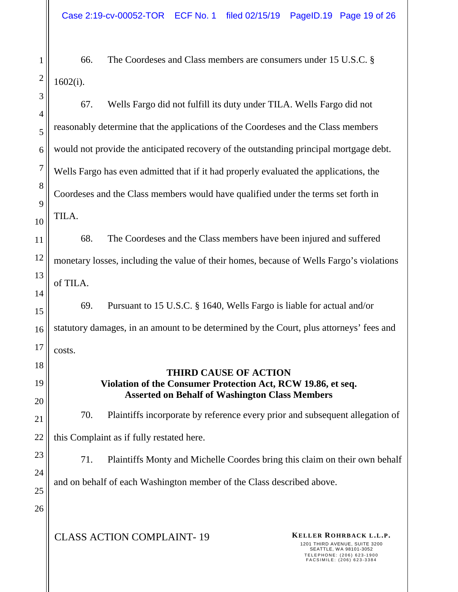66. The Coordeses and Class members are consumers under 15 U.S.C. § 1602(i).

67. Wells Fargo did not fulfill its duty under TILA. Wells Fargo did not reasonably determine that the applications of the Coordeses and the Class members would not provide the anticipated recovery of the outstanding principal mortgage debt. Wells Fargo has even admitted that if it had properly evaluated the applications, the Coordeses and the Class members would have qualified under the terms set forth in TILA.

68. The Coordeses and the Class members have been injured and suffered monetary losses, including the value of their homes, because of Wells Fargo's violations of TILA.

69. Pursuant to 15 U.S.C. § 1640, Wells Fargo is liable for actual and/or statutory damages, in an amount to be determined by the Court, plus attorneys' fees and costs.

# **THIRD CAUSE OF ACTION Violation of the Consumer Protection Act, RCW 19.86, et seq. Asserted on Behalf of Washington Class Members**

70. Plaintiffs incorporate by reference every prior and subsequent allegation of this Complaint as if fully restated here.

71. Plaintiffs Monty and Michelle Coordes bring this claim on their own behalf and on behalf of each Washington member of the Class described above.

25 26

1

2

3

4

5

6

7

8

9

10

11

12

13

14

15

16

17

18

19

20

21

22

23

24

CLASS ACTION COMPLAINT- 19 **KELLER ROHRBACK L.L.P.**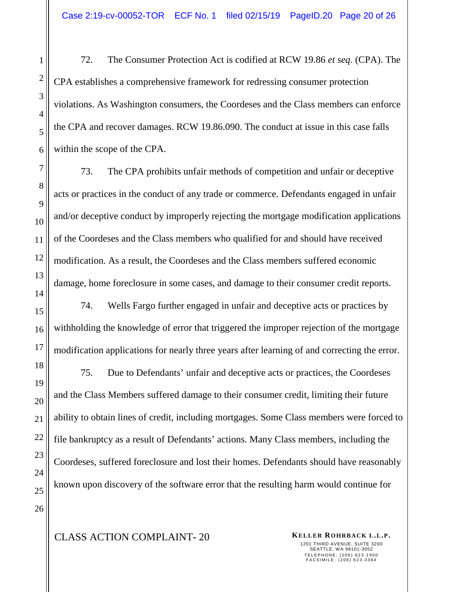72. The Consumer Protection Act is codified at RCW 19.86 *et seq*. (CPA). The CPA establishes a comprehensive framework for redressing consumer protection violations. As Washington consumers, the Coordeses and the Class members can enforce the CPA and recover damages. RCW 19.86.090. The conduct at issue in this case falls within the scope of the CPA.

73. The CPA prohibits unfair methods of competition and unfair or deceptive acts or practices in the conduct of any trade or commerce. Defendants engaged in unfair and/or deceptive conduct by improperly rejecting the mortgage modification applications of the Coordeses and the Class members who qualified for and should have received modification. As a result, the Coordeses and the Class members suffered economic damage, home foreclosure in some cases, and damage to their consumer credit reports.

74. Wells Fargo further engaged in unfair and deceptive acts or practices by withholding the knowledge of error that triggered the improper rejection of the mortgage modification applications for nearly three years after learning of and correcting the error.

75. Due to Defendants' unfair and deceptive acts or practices, the Coordeses and the Class Members suffered damage to their consumer credit, limiting their future ability to obtain lines of credit, including mortgages. Some Class members were forced to file bankruptcy as a result of Defendants' actions. Many Class members, including the Coordeses, suffered foreclosure and lost their homes. Defendants should have reasonably known upon discovery of the software error that the resulting harm would continue for

1201 THIRD AVENUE, SUITE 3200 SEATTLE, WA 98101-3052 TELEPHONE: (206) 623-1900<br>FACSIMILE: (206) 623-3384

# CLASS ACTION COMPLAINT- 20 **KELLER ROHRBACK L.L.P.**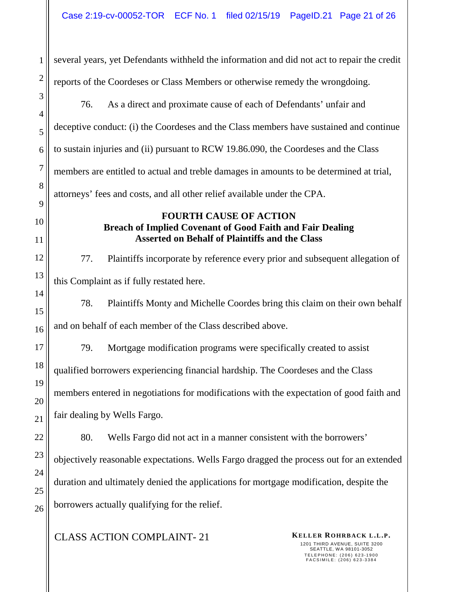several years, yet Defendants withheld the information and did not act to repair the credit reports of the Coordeses or Class Members or otherwise remedy the wrongdoing.

76. As a direct and proximate cause of each of Defendants' unfair and deceptive conduct: (i) the Coordeses and the Class members have sustained and continue to sustain injuries and (ii) pursuant to RCW 19.86.090, the Coordeses and the Class members are entitled to actual and treble damages in amounts to be determined at trial, attorneys' fees and costs, and all other relief available under the CPA.

# **FOURTH CAUSE OF ACTION Breach of Implied Covenant of Good Faith and Fair Dealing Asserted on Behalf of Plaintiffs and the Class**

77. Plaintiffs incorporate by reference every prior and subsequent allegation of this Complaint as if fully restated here.

78. Plaintiffs Monty and Michelle Coordes bring this claim on their own behalf and on behalf of each member of the Class described above.

79. Mortgage modification programs were specifically created to assist qualified borrowers experiencing financial hardship. The Coordeses and the Class members entered in negotiations for modifications with the expectation of good faith and fair dealing by Wells Fargo.

80. Wells Fargo did not act in a manner consistent with the borrowers' objectively reasonable expectations. Wells Fargo dragged the process out for an extended duration and ultimately denied the applications for mortgage modification, despite the borrowers actually qualifying for the relief.

**CLASS ACTION COMPLAINT-21 KELLER ROHRBACK L.L.P.**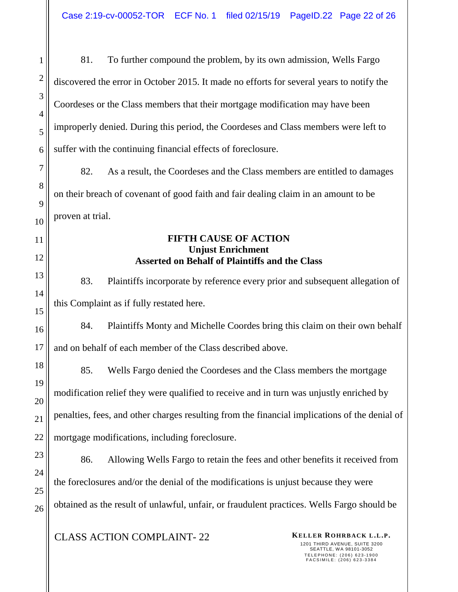81. To further compound the problem, by its own admission, Wells Fargo discovered the error in October 2015. It made no efforts for several years to notify the Coordeses or the Class members that their mortgage modification may have been improperly denied. During this period, the Coordeses and Class members were left to suffer with the continuing financial effects of foreclosure.

82. As a result, the Coordeses and the Class members are entitled to damages on their breach of covenant of good faith and fair dealing claim in an amount to be proven at trial.

#### **FIFTH CAUSE OF ACTION Unjust Enrichment Asserted on Behalf of Plaintiffs and the Class**

83. Plaintiffs incorporate by reference every prior and subsequent allegation of this Complaint as if fully restated here.

84. Plaintiffs Monty and Michelle Coordes bring this claim on their own behalf and on behalf of each member of the Class described above.

85. Wells Fargo denied the Coordeses and the Class members the mortgage modification relief they were qualified to receive and in turn was unjustly enriched by penalties, fees, and other charges resulting from the financial implications of the denial of mortgage modifications, including foreclosure.

86. Allowing Wells Fargo to retain the fees and other benefits it received from the foreclosures and/or the denial of the modifications is unjust because they were obtained as the result of unlawful, unfair, or fraudulent practices. Wells Fargo should be

**CLASS ACTION COMPLAINT-22 KELLER ROHRBACK L.L.P.**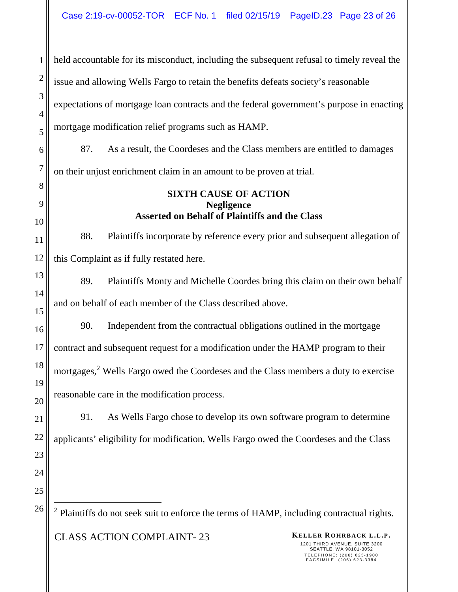**CLASS ACTION COMPLAINT-23 KELLER ROHRBACK L.L.P.** 1 2 3 4 5 6 7 8 9 10 11 12 13 14 15 16 17 18 19 20 21 22 23 24 25 26 held accountable for its misconduct, including the subsequent refusal to timely reveal the issue and allowing Wells Fargo to retain the benefits defeats society's reasonable expectations of mortgage loan contracts and the federal government's purpose in enacting mortgage modification relief programs such as HAMP. 87. As a result, the Coordeses and the Class members are entitled to damages on their unjust enrichment claim in an amount to be proven at trial. **SIXTH CAUSE OF ACTION Negligence Asserted on Behalf of Plaintiffs and the Class**  88. Plaintiffs incorporate by reference every prior and subsequent allegation of this Complaint as if fully restated here. 89. Plaintiffs Monty and Michelle Coordes bring this claim on their own behalf and on behalf of each member of the Class described above. 90. Independent from the contractual obligations outlined in the mortgage contract and subsequent request for a modification under the HAMP program to their mortgages,<sup>2</sup> Wells Fargo owed the Coordeses and the Class members a duty to exercise reasonable care in the modification process. 91. As Wells Fargo chose to develop its own software program to determine applicants' eligibility for modification, Wells Fargo owed the Coordeses and the Class <sup>2</sup> Plaintiffs do not seek suit to enforce the terms of HAMP, including contractual rights.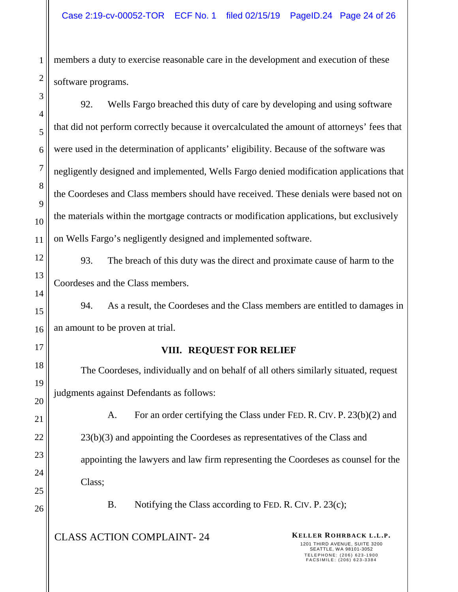members a duty to exercise reasonable care in the development and execution of these software programs.

92. Wells Fargo breached this duty of care by developing and using software that did not perform correctly because it overcalculated the amount of attorneys' fees that were used in the determination of applicants' eligibility. Because of the software was negligently designed and implemented, Wells Fargo denied modification applications that the Coordeses and Class members should have received. These denials were based not on the materials within the mortgage contracts or modification applications, but exclusively on Wells Fargo's negligently designed and implemented software.

93. The breach of this duty was the direct and proximate cause of harm to the Coordeses and the Class members.

94. As a result, the Coordeses and the Class members are entitled to damages in an amount to be proven at trial.

# **VIII. REQUEST FOR RELIEF**

The Coordeses, individually and on behalf of all others similarly situated, request judgments against Defendants as follows:

A. For an order certifying the Class under FED. R. CIV. P. 23(b)(2) and 23(b)(3) and appointing the Coordeses as representatives of the Class and appointing the lawyers and law firm representing the Coordeses as counsel for the Class;

B. Notifying the Class according to FED. R. CIV. P. 23(c);

CLASS ACTION COMPLAINT- 24 **KELLER ROHRBACK L.L.P.**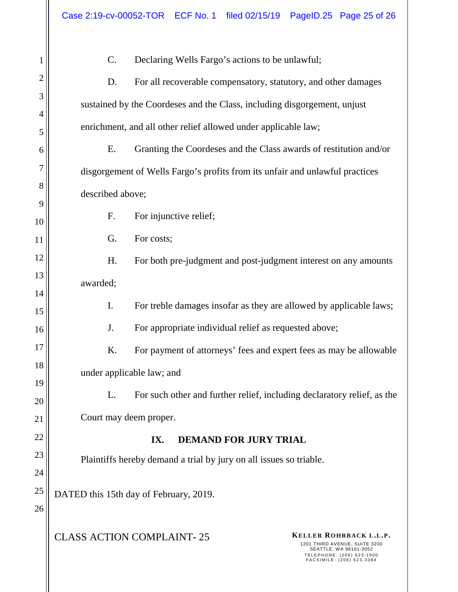**CLASS ACTION COMPLAINT-25 KELLER ROHRBACK L.L.P.** 1201 THIRD AVENUE, SUITE 3200 SEATTLE, WA 98101-3052 TELEPHONE: (206) 623-1900<br>FACSIMILE: (206) 623-3384 1 2 3 4 5 6 7 8 9 10 11 12 13 14 15 16 17 18 19 20 21 22 23 24 25 26 C. Declaring Wells Fargo's actions to be unlawful; D. For all recoverable compensatory, statutory, and other damages sustained by the Coordeses and the Class, including disgorgement, unjust enrichment, and all other relief allowed under applicable law; E. Granting the Coordeses and the Class awards of restitution and/or disgorgement of Wells Fargo's profits from its unfair and unlawful practices described above; F. For injunctive relief; G. For costs; H. For both pre-judgment and post-judgment interest on any amounts awarded; I. For treble damages insofar as they are allowed by applicable laws; J. For appropriate individual relief as requested above; K. For payment of attorneys' fees and expert fees as may be allowable under applicable law; and L. For such other and further relief, including declaratory relief, as the Court may deem proper. **IX. DEMAND FOR JURY TRIAL**  Plaintiffs hereby demand a trial by jury on all issues so triable. DATED this 15th day of February, 2019.